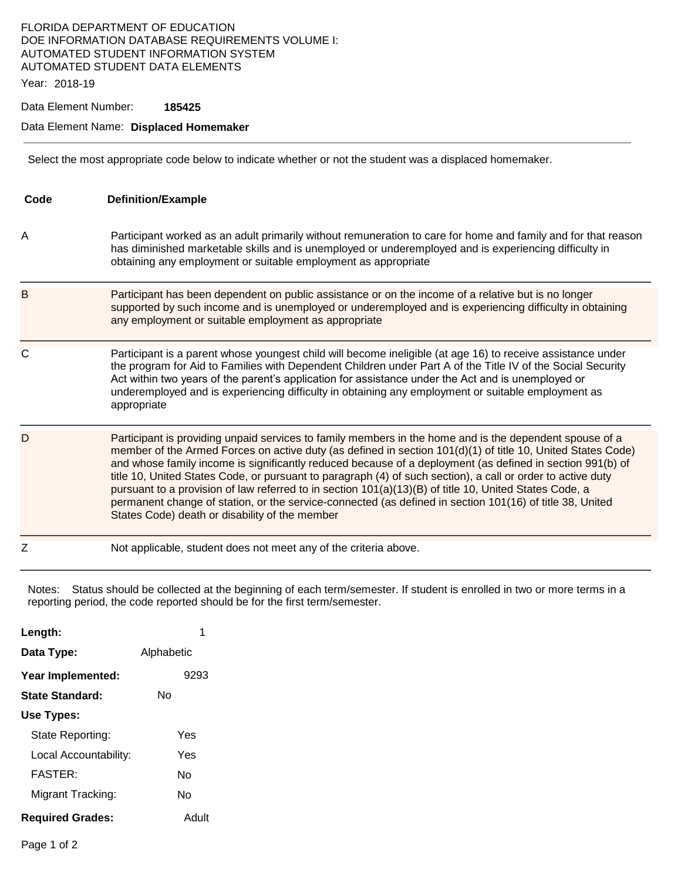### FLORIDA DEPARTMENT OF EDUCATION DOE INFORMATION DATABASE REQUIREMENTS VOLUME I: AUTOMATED STUDENT INFORMATION SYSTEM AUTOMATED STUDENT DATA ELEMENTS

Year: 2018-19

Data Element Number: **185425** 

#### Data Element Name: **Displaced Homemaker**

Select the most appropriate code below to indicate whether or not the student was a displaced homemaker.

| Code | <b>Definition/Example</b>                                                                                                                                                                                                                                                                                                                                                                                                                                                                                                                                                                                                                                                                                                  |
|------|----------------------------------------------------------------------------------------------------------------------------------------------------------------------------------------------------------------------------------------------------------------------------------------------------------------------------------------------------------------------------------------------------------------------------------------------------------------------------------------------------------------------------------------------------------------------------------------------------------------------------------------------------------------------------------------------------------------------------|
| Α    | Participant worked as an adult primarily without remuneration to care for home and family and for that reason<br>has diminished marketable skills and is unemployed or underemployed and is experiencing difficulty in<br>obtaining any employment or suitable employment as appropriate                                                                                                                                                                                                                                                                                                                                                                                                                                   |
| B    | Participant has been dependent on public assistance or on the income of a relative but is no longer<br>supported by such income and is unemployed or underemployed and is experiencing difficulty in obtaining<br>any employment or suitable employment as appropriate                                                                                                                                                                                                                                                                                                                                                                                                                                                     |
| C    | Participant is a parent whose youngest child will become ineligible (at age 16) to receive assistance under<br>the program for Aid to Families with Dependent Children under Part A of the Title IV of the Social Security<br>Act within two years of the parent's application for assistance under the Act and is unemployed or<br>underemployed and is experiencing difficulty in obtaining any employment or suitable employment as<br>appropriate                                                                                                                                                                                                                                                                      |
| D    | Participant is providing unpaid services to family members in the home and is the dependent spouse of a<br>member of the Armed Forces on active duty (as defined in section 101(d)(1) of title 10, United States Code)<br>and whose family income is significantly reduced because of a deployment (as defined in section 991(b) of<br>title 10, United States Code, or pursuant to paragraph (4) of such section), a call or order to active duty<br>pursuant to a provision of law referred to in section 101(a)(13)(B) of title 10, United States Code, a<br>permanent change of station, or the service-connected (as defined in section 101(16) of title 38, United<br>States Code) death or disability of the member |
| Z    | Not applicable, student does not meet any of the criteria above.                                                                                                                                                                                                                                                                                                                                                                                                                                                                                                                                                                                                                                                           |

Notes: Status should be collected at the beginning of each term/semester. If student is enrolled in two or more terms in a reporting period, the code reported should be for the first term/semester.

| Length:                 |            |  |
|-------------------------|------------|--|
| Data Type:              | Alphabetic |  |
| Year Implemented:       | 9293       |  |
| State Standard:         | Nο         |  |
| Use Types:              |            |  |
| State Reporting:        | Yes        |  |
| Local Accountability:   | Yes        |  |
| <b>FASTER:</b>          | N٥         |  |
| Migrant Tracking:       | N٥         |  |
| <b>Required Grades:</b> | Adult      |  |